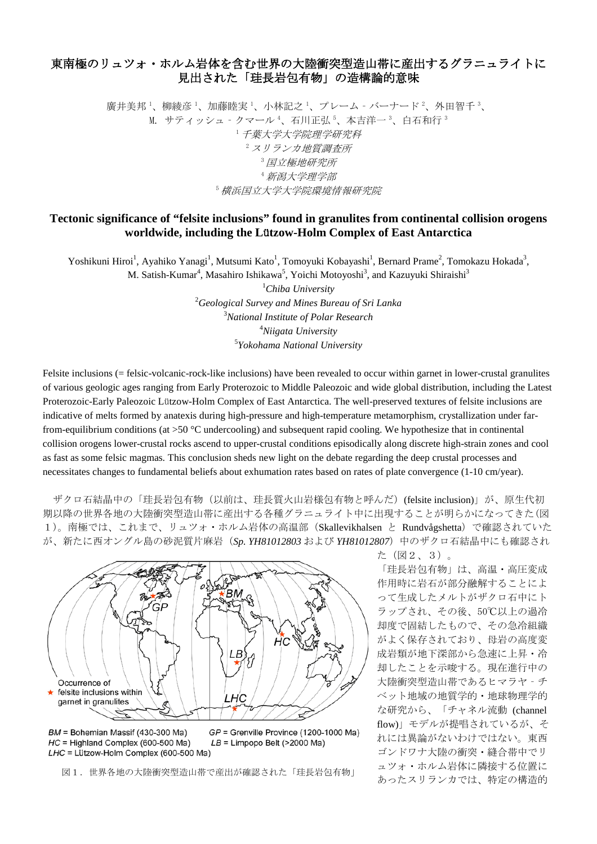## 東南極のリュツォ・ホルム岩体を含む世界の大陸衝突型造山帯に産出するグラニュライトに 見出された「珪長岩包有物」の造構論的意味

廣井美邦 '、柳綾彦 '、加藤睦実 '、小林記之 '、プレーム - バーナード '、外田智千 '、 M. サティッシュ‐クマール 4、石川正弘 5、本吉洋一 3、白石和行 3 <sup>1</sup>千葉大学大学院理学研究科  $2$  スリランカ地質調査所 <sup>3</sup>国立極地研究所 <sup>4</sup>新潟大学理学部 <sup>5</sup>横浜国立大学大学院環境情報研究院

## **Tectonic significance of "felsite inclusions" found in granulites from continental collision orogens worldwide, including the L**ü**tzow-Holm Complex of East Antarctica**

Yoshikuni Hiroi<sup>1</sup>, Ayahiko Yanagi<sup>1</sup>, Mutsumi Kato<sup>1</sup>, Tomoyuki Kobayashi<sup>1</sup>, Bernard Prame<sup>2</sup>, Tomokazu Hokada<sup>3</sup>, M. Satish-Kumar<sup>4</sup>, Masahiro Ishikawa<sup>5</sup>, Yoichi Motoyoshi<sup>3</sup>, and Kazuyuki Shiraishi<sup>3</sup>

 *Chiba University Geological Survey and Mines Bureau of Sri Lanka National Institute of Polar Research Niigata University Yokohama National University*

Felsite inclusions (= felsic-volcanic-rock-like inclusions) have been revealed to occur within garnet in lower-crustal granulites of various geologic ages ranging from Early Proterozoic to Middle Paleozoic and wide global distribution, including the Latest Proterozoic-Early Paleozoic Lützow-Holm Complex of East Antarctica. The well-preserved textures of felsite inclusions are indicative of melts formed by anatexis during high-pressure and high-temperature metamorphism, crystallization under farfrom-equilibrium conditions (at  $>50$  °C undercooling) and subsequent rapid cooling. We hypothesize that in continental collision orogens lower-crustal rocks ascend to upper-crustal conditions episodically along discrete high-strain zones and cool as fast as some felsic magmas. This conclusion sheds new light on the debate regarding the deep crustal processes and necessitates changes to fundamental beliefs about exhumation rates based on rates of plate convergence (1-10 cm/year).

ザクロ石結晶中の「珪長岩包有物(以前は、珪長質火山岩様包有物と呼んだ)(felsite inclusion)」が、原生代初 期以降の世界各地の大陸衝突型造山帯に産出する各種グラニュライト中に出現することが明らかになってきた(図 1)。南極では、これまで、リュツォ・ホルム岩体の高温部(Skallevikhalsen と Rundvågshetta)で確認されていた が、新たに西オングル島の砂泥質片麻岩(*Sp. YH81012803* および *YH81012807*)中のザクロ石結晶中にも確認され



BM = Bohemian Massif (430-300 Ma) HC = Highland Complex (600-500 Ma) LHC = Lützow-Holm Complex (600-500 Ma)

 $GP =$  Grenville Province (1200-1000 Ma)  $LB = Limpopo$  Belt (>2000 Ma)

た(図2、3)。

「珪長岩包有物」は、高温・高圧変成 作用時に岩石が部分融解することによ って生成したメルトがザクロ石中にト ラップされ、その後、50℃以上の過冷 却度で固結したもので、その急冷組織 がよく保存されており、母岩の高度変 成岩類が地下深部から急速に上昇・冷 却したことを示唆する。現在進行中の 大陸衝突型造山帯であるヒマラヤ‐チ ベット地域の地質学的・地球物理学的 な研究から、「チャネル流動 (channel flow)」モデルが提唱されているが、そ れには異論がないわけではない。東西 ゴンドワナ大陸の衝突・縫合帯中でリ ュツォ・ホルム岩体に隣接する位置に 図1.世界各地の大陸衝突型造山帯で産出が確認された「珪長岩包有物」 コンターダンショコはに<sub>こ</sub>いたい。<br>あったスリランカでは、特定の構造的